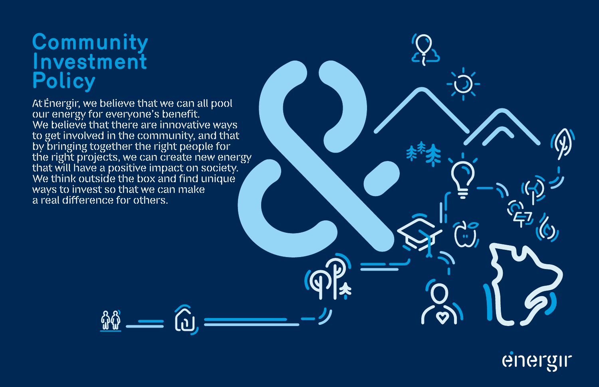## **Community Investment Policy**

At Energir, we believe that we can all pool our energy for everyone's benefit. We believe that theire are innovative ways to get involved in the community, and that by bringing together the right people for the right projects, we can create new energy that will have a positive impact on society. We think outside the box and find unique ways to invest so that we can make a real difference for others.

**fig.** 



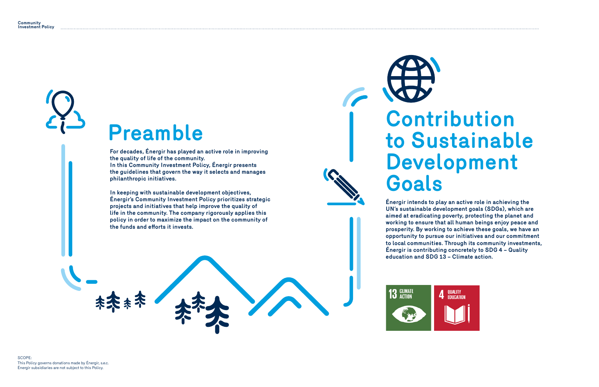## Preamble **Contribution to Sustainable Development Goals**

**For decades, Énergir has played an active role in improving the quality of life of the community.** 

**In this Community Investment Policy, Énergir presents the guidelines that govern the way it selects and manages philanthropic initiatives.**

**In keeping with sustainable development objectives, Énergir's Community Investment Policy prioritizes strategic projects and initiatives that help improve the quality of life in the community. The company rigorously applies this policy in order to maximize the impact on the community of the funds and efforts it invests.**



**Énergir intends to play an active role in achieving the UN's sustainable development goals (SDGs), which are aimed at eradicating poverty, protecting the planet and working to ensure that all human beings enjoy peace and prosperity. By working to achieve these goals, we have an opportunity to pursue our initiatives and our commitment to local communities. Through its community investments, Énergir is contributing concretely to SDG 4 – Quality education and SDG 13 – Climate action.**

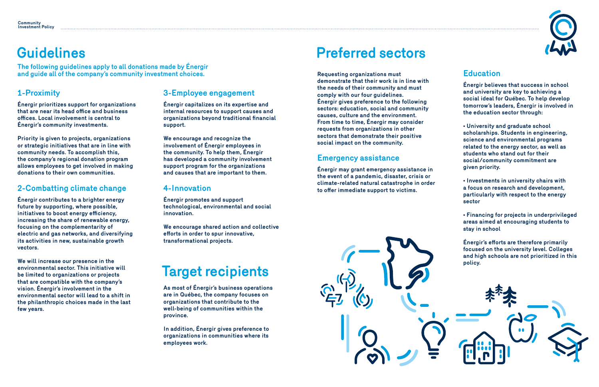## **Guidelines**

## **Target recipients**

#### **1-Proximity**

**Énergir prioritizes support for organizations that are near its head office and business offices. Local involvement is central to Énergir's community investments.**

**Priority is given to projects, organizations or strategic initiatives that are in line with community needs. To accomplish this, the company's regional donation program allows employees to get involved in making donations to their own communities.**

### **2-Combatting climate change**

**Énergir contributes to a brighter energy future by supporting, where possible, initiatives to boost energy efficiency, increasing the share of renewable energy, focusing on the complementarity of electric and gas networks, and diversifying its activities in new, sustainable growth vectors.**

**We will increase our presence in the environmental sector. This initiative will be limited to organizations or projects that are compatible with the company's vision. Énergir's involvement in the environmental sector will lead to a shift in the philanthropic choices made in the last few years.**

#### **3-Employee engagement**

**Énergir capitalizes on its expertise and internal resources to support causes and organizations beyond traditional financial support.** 

**We encourage and recognize the involvement of Énergir employees in the community. To help them, Énergir has developed a community involvement support program for the organizations and causes that are important to them.**

#### **4-Innovation**

**Énergir promotes and support technological, environmental and social innovation.**

**We encourage shared action and collective efforts in order to spur innovative, transformational projects.**

**The following guidelines apply to all donations made by Énergir and guide all of the company's community investment choices.**

> **As most of Énergir's business operations are in Québec, the company focuses on organizations that contribute to the well-being of communities within the province.**

**In addition, Énergir gives preference to organizations in communities where its employees work.**

## **Preferred sectors**

**Requesting organizations must demonstrate that their work is in line with the needs of their community and must comply with our four guidelines. Énergir gives preference to the following sectors: education, social and community causes, culture and the environment. From time to time, Énergir may consider requests from organizations in other sectors that demonstrate their positive social impact on the community.**

#### **Emergency assistance**

**Énergir may grant emergency assistance in the event of a pandemic, disaster, crisis or climate-related natural catastrophe in order to offer immediate support to victims.**

#### **Education**

**Énergir believes that success in school and university are key to achieving a social ideal for Québec. To help develop tomorrow's leaders, Énergir is involved in the education sector through:**

**• University and graduate school scholarships. Students in engineering, science and environmental programs related to the energy sector, as well as students who stand out for their social/community commitment are given priority.**

**• Investments in university chairs with a focus on research and development, particularly with respect to the energy sector**

**• Financing for projects in underprivileged areas aimed at encouraging students to stay in school**



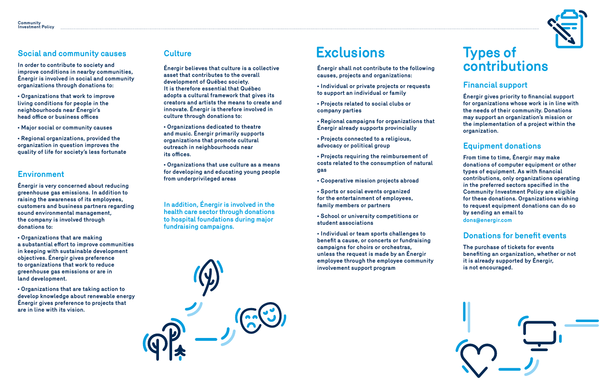## **Types of contributions**

## **Exclusions**

**Énergir shall not contribute to the following causes, projects and organizations:**

**• Individual or private projects or requests to support an individual or family**

**• Projects related to social clubs or company parties**

**• Regional campaigns for organizations that Énergir already supports provincially**

**• Projects connected to a religious, advocacy or political group**

**• Projects requiring the reimbursement of costs related to the consumption of natural gas**

**• Cooperative mission projects abroad**

**• Sports or social events organized for the entertainment of employees, family members or partners**

**• School or university competitions or student associations**

**• Individual or team sports challenges to benefit a cause, or concerts or fundraising campaigns for choirs or orchestras, unless the request is made by an Énergir employee through the employee community involvement support program**





#### **Financial support**

**Énergir gives priority to financial support for organizations whose work is in line with the needs of their community. Donations may support an organization's mission or the implementation of a project within the organization.**

#### **Equipment donations**

**From time to time, Énergir may make donations of computer equipment or other types of equipment. As with financial contributions, only organizations operating in the preferred sectors specified in the Community Investment Policy are eligible for these donations. Organizations wishing to request equipment donations can do so by sending an email to dons@energir.com**

#### **Donations for benefit events**

**The purchase of tickets for events benefiting an organization, whether or not it is already supported by Énergir, is not encouraged.** 



#### **Culture**

**Énergir believes that culture is a collective asset that contributes to the overall development of Québec society. It is therefore essential that Québec adopts a cultural framework that gives its creators and artists the means to create and innovate. Énergir is therefore involved in culture through donations to:**

**• Organizations dedicated to theatre and music. Énergir primarily supports organizations that promote cultural outreach in neighbourhoods near its offices.**

**• Organizations that use culture as a means for developing and educating young people from underprivileged areas**

**In addition, Énergir is involved in the health care sector through donations to hospital foundations during major fundraising campaigns.**

#### **Social and community causes**

**In order to contribute to society and improve conditions in nearby communities, Énergir is involved in social and community organizations through donations to:**

**• Organizations that work to improve living conditions for people in the neighbourhoods near Énergir's head office or business offices**

**• Major social or community causes**

**• Regional organizations, provided the organization in question improves the quality of life for society's less fortunate**

#### **Environment**

**Énergir is very concerned about reducing greenhouse gas emissions. In addition to raising the awareness of its employees, customers and business partners regarding sound environmental management, the company is involved through donations to:**

**• Organizations that are making a substantial effort to improve communities in keeping with sustainable development objectives. Énergir gives preference to organizations that work to reduce greenhouse gas emissions or are in land development.**

**• Organizations that are taking action to develop knowledge about renewable energy Énergir gives preference to projects that are in line with its vision.**